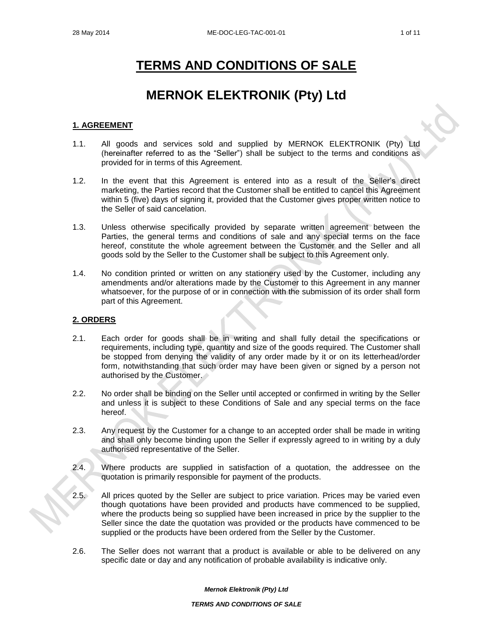# **TERMS AND CONDITIONS OF SALE**

# **MERNOK ELEKTRONIK (Pty) Ltd**

## **1. AGREEMENT**

- 1.1. All goods and services sold and supplied by MERNOK ELEKTRONIK (Pty) Ltd (hereinafter referred to as the "Seller") shall be subject to the terms and conditions as provided for in terms of this Agreement.
- 1.2. In the event that this Agreement is entered into as a result of the Seller's direct marketing, the Parties record that the Customer shall be entitled to cancel this Agreement within 5 (five) days of signing it, provided that the Customer gives proper written notice to the Seller of said cancelation.
- 1.3. Unless otherwise specifically provided by separate written agreement between the Parties, the general terms and conditions of sale and any special terms on the face hereof, constitute the whole agreement between the Customer and the Seller and all goods sold by the Seller to the Customer shall be subject to this Agreement only.
- 1.4. No condition printed or written on any stationery used by the Customer, including any amendments and/or alterations made by the Customer to this Agreement in any manner whatsoever, for the purpose of or in connection with the submission of its order shall form part of this Agreement.

#### **2. ORDERS**

- 2.1. Each order for goods shall be in writing and shall fully detail the specifications or requirements, including type, quantity and size of the goods required. The Customer shall be stopped from denying the validity of any order made by it or on its letterhead/order form, notwithstanding that such order may have been given or signed by a person not authorised by the Customer.
- 2.2. No order shall be binding on the Seller until accepted or confirmed in writing by the Seller and unless it is subject to these Conditions of Sale and any special terms on the face hereof.
- 2.3. Any request by the Customer for a change to an accepted order shall be made in writing and shall only become binding upon the Seller if expressly agreed to in writing by a duly authorised representative of the Seller.
- 2.4. Where products are supplied in satisfaction of a quotation, the addressee on the quotation is primarily responsible for payment of the products.
- 2.5. All prices quoted by the Seller are subject to price variation. Prices may be varied even though quotations have been provided and products have commenced to be supplied, where the products being so supplied have been increased in price by the supplier to the Seller since the date the quotation was provided or the products have commenced to be supplied or the products have been ordered from the Seller by the Customer.
- 2.6. The Seller does not warrant that a product is available or able to be delivered on any specific date or day and any notification of probable availability is indicative only.

*Mernok Elektronik (Pty) Ltd*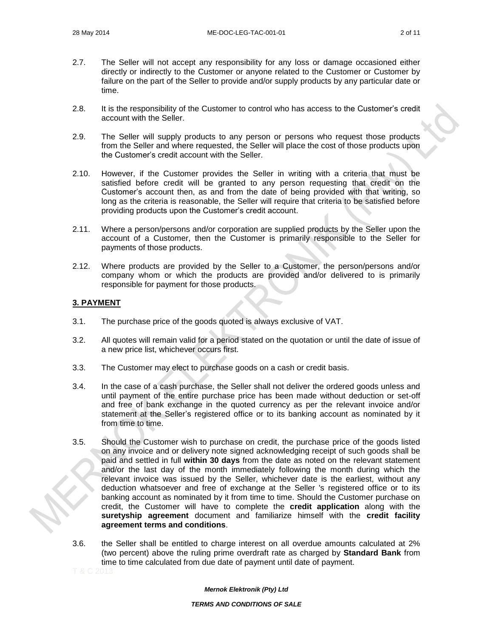- 2.7. The Seller will not accept any responsibility for any loss or damage occasioned either directly or indirectly to the Customer or anyone related to the Customer or Customer by failure on the part of the Seller to provide and/or supply products by any particular date or time.
- 2.8. It is the responsibility of the Customer to control who has access to the Customer's credit account with the Seller.
- 2.9. The Seller will supply products to any person or persons who request those products from the Seller and where requested, the Seller will place the cost of those products upon the Customer's credit account with the Seller.
- 2.10. However, if the Customer provides the Seller in writing with a criteria that must be satisfied before credit will be granted to any person requesting that credit on the Customer's account then, as and from the date of being provided with that writing, so long as the criteria is reasonable, the Seller will require that criteria to be satisfied before providing products upon the Customer's credit account.
- 2.11. Where a person/persons and/or corporation are supplied products by the Seller upon the account of a Customer, then the Customer is primarily responsible to the Seller for payments of those products.
- 2.12. Where products are provided by the Seller to a Customer, the person/persons and/or company whom or which the products are provided and/or delivered to is primarily responsible for payment for those products.

# **3. PAYMENT**

- 3.1. The purchase price of the goods quoted is always exclusive of VAT.
- 3.2. All quotes will remain valid for a period stated on the quotation or until the date of issue of a new price list, whichever occurs first.
- 3.3. The Customer may elect to purchase goods on a cash or credit basis.
- 3.4. In the case of a cash purchase, the Seller shall not deliver the ordered goods unless and until payment of the entire purchase price has been made without deduction or set-off and free of bank exchange in the quoted currency as per the relevant invoice and/or statement at the Seller's registered office or to its banking account as nominated by it from time to time.
- 3.5. Should the Customer wish to purchase on credit, the purchase price of the goods listed on any invoice and or delivery note signed acknowledging receipt of such goods shall be paid and settled in full **within 30 days** from the date as noted on the relevant statement and/or the last day of the month immediately following the month during which the relevant invoice was issued by the Seller, whichever date is the earliest, without any deduction whatsoever and free of exchange at the Seller 's registered office or to its banking account as nominated by it from time to time. Should the Customer purchase on credit, the Customer will have to complete the **credit application** along with the **suretyship agreement** document and familiarize himself with the **credit facility agreement terms and conditions**.
- 3.6. the Seller shall be entitled to charge interest on all overdue amounts calculated at 2% (two percent) above the ruling prime overdraft rate as charged by **Standard Bank** from time to time calculated from due date of payment until date of payment.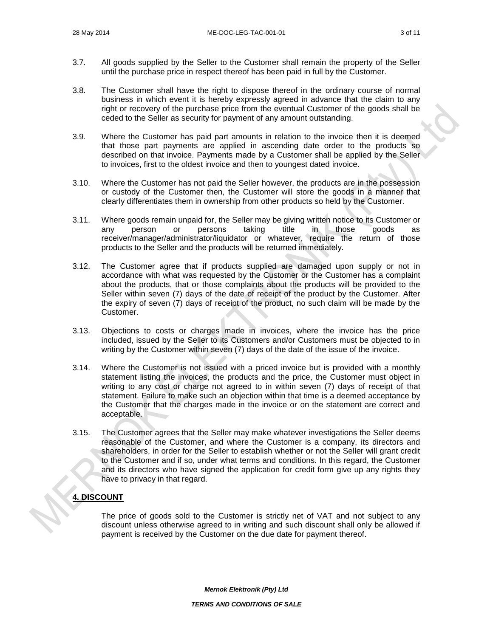- 3.7. All goods supplied by the Seller to the Customer shall remain the property of the Seller until the purchase price in respect thereof has been paid in full by the Customer.
- 3.8. The Customer shall have the right to dispose thereof in the ordinary course of normal business in which event it is hereby expressly agreed in advance that the claim to any right or recovery of the purchase price from the eventual Customer of the goods shall be ceded to the Seller as security for payment of any amount outstanding.
- 3.9. Where the Customer has paid part amounts in relation to the invoice then it is deemed that those part payments are applied in ascending date order to the products so described on that invoice. Payments made by a Customer shall be applied by the Seller to invoices, first to the oldest invoice and then to youngest dated invoice.
- 3.10. Where the Customer has not paid the Seller however, the products are in the possession or custody of the Customer then, the Customer will store the goods in a manner that clearly differentiates them in ownership from other products so held by the Customer.
- 3.11. Where goods remain unpaid for, the Seller may be giving written notice to its Customer or any person or persons taking title in those goods as receiver/manager/administrator/liquidator or whatever, require the return of those products to the Seller and the products will be returned immediately.
- 3.12. The Customer agree that if products supplied are damaged upon supply or not in accordance with what was requested by the Customer or the Customer has a complaint about the products, that or those complaints about the products will be provided to the Seller within seven (7) days of the date of receipt of the product by the Customer. After the expiry of seven (7) days of receipt of the product, no such claim will be made by the Customer.
- 3.13. Objections to costs or charges made in invoices, where the invoice has the price included, issued by the Seller to its Customers and/or Customers must be objected to in writing by the Customer within seven (7) days of the date of the issue of the invoice.
- 3.14. Where the Customer is not issued with a priced invoice but is provided with a monthly statement listing the invoices, the products and the price, the Customer must object in writing to any cost or charge not agreed to in within seven (7) days of receipt of that statement. Failure to make such an objection within that time is a deemed acceptance by the Customer that the charges made in the invoice or on the statement are correct and acceptable.
- 3.15. The Customer agrees that the Seller may make whatever investigations the Seller deems reasonable of the Customer, and where the Customer is a company, its directors and shareholders, in order for the Seller to establish whether or not the Seller will grant credit to the Customer and if so, under what terms and conditions. In this regard, the Customer and its directors who have signed the application for credit form give up any rights they have to privacy in that regard.

# **4. DISCOUNT**

The price of goods sold to the Customer is strictly net of VAT and not subject to any discount unless otherwise agreed to in writing and such discount shall only be allowed if payment is received by the Customer on the due date for payment thereof.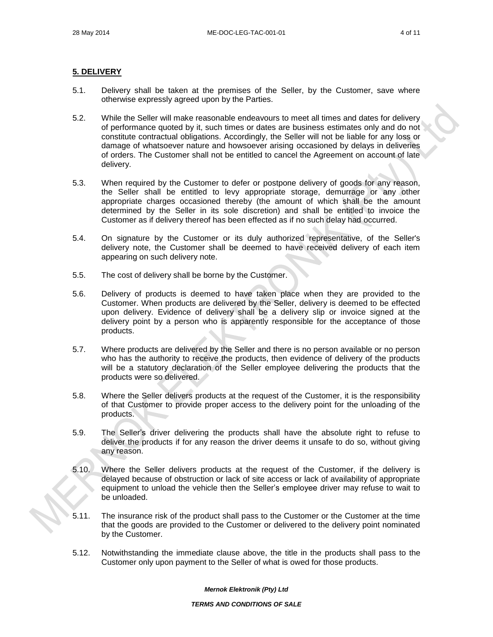#### **5. DELIVERY**

- 5.1. Delivery shall be taken at the premises of the Seller, by the Customer, save where otherwise expressly agreed upon by the Parties.
- 5.2. While the Seller will make reasonable endeavours to meet all times and dates for delivery of performance quoted by it, such times or dates are business estimates only and do not constitute contractual obligations. Accordingly, the Seller will not be liable for any loss or damage of whatsoever nature and howsoever arising occasioned by delays in deliveries of orders. The Customer shall not be entitled to cancel the Agreement on account of late delivery.
- 5.3. When required by the Customer to defer or postpone delivery of goods for any reason, the Seller shall be entitled to levy appropriate storage, demurrage or any other appropriate charges occasioned thereby (the amount of which shall be the amount determined by the Seller in its sole discretion) and shall be entitled to invoice the Customer as if delivery thereof has been effected as if no such delay had occurred.
- 5.4. On signature by the Customer or its duly authorized representative, of the Seller's delivery note, the Customer shall be deemed to have received delivery of each item appearing on such delivery note.
- 5.5. The cost of delivery shall be borne by the Customer.
- 5.6. Delivery of products is deemed to have taken place when they are provided to the Customer. When products are delivered by the Seller, delivery is deemed to be effected upon delivery. Evidence of delivery shall be a delivery slip or invoice signed at the delivery point by a person who is apparently responsible for the acceptance of those products.
- 5.7. Where products are delivered by the Seller and there is no person available or no person who has the authority to receive the products, then evidence of delivery of the products will be a statutory declaration of the Seller employee delivering the products that the products were so delivered.
- 5.8. Where the Seller delivers products at the request of the Customer, it is the responsibility of that Customer to provide proper access to the delivery point for the unloading of the products.
- 5.9. The Seller's driver delivering the products shall have the absolute right to refuse to deliver the products if for any reason the driver deems it unsafe to do so, without giving any reason.
- 5.10. Where the Seller delivers products at the request of the Customer, if the delivery is delayed because of obstruction or lack of site access or lack of availability of appropriate equipment to unload the vehicle then the Seller's employee driver may refuse to wait to be unloaded.
- 5.11. The insurance risk of the product shall pass to the Customer or the Customer at the time that the goods are provided to the Customer or delivered to the delivery point nominated by the Customer.
- 5.12. Notwithstanding the immediate clause above, the title in the products shall pass to the Customer only upon payment to the Seller of what is owed for those products.

*Mernok Elektronik (Pty) Ltd*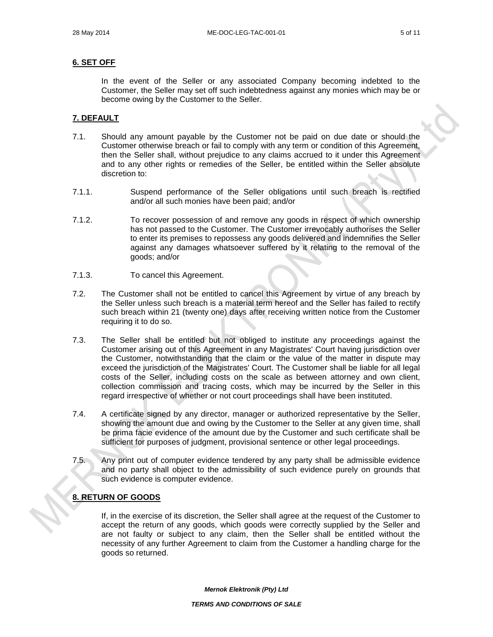#### **6. SET OFF**

In the event of the Seller or any associated Company becoming indebted to the Customer, the Seller may set off such indebtedness against any monies which may be or become owing by the Customer to the Seller.

#### **7. DEFAULT**

- 7.1. Should any amount payable by the Customer not be paid on due date or should the Customer otherwise breach or fail to comply with any term or condition of this Agreement, then the Seller shall, without prejudice to any claims accrued to it under this Agreement and to any other rights or remedies of the Seller, be entitled within the Seller absolute discretion to:
- 7.1.1. Suspend performance of the Seller obligations until such breach is rectified and/or all such monies have been paid; and/or
- 7.1.2. To recover possession of and remove any goods in respect of which ownership has not passed to the Customer. The Customer irrevocably authorises the Seller to enter its premises to repossess any goods delivered and indemnifies the Seller against any damages whatsoever suffered by it relating to the removal of the goods; and/or
- 7.1.3. To cancel this Agreement.
- 7.2. The Customer shall not be entitled to cancel this Agreement by virtue of any breach by the Seller unless such breach is a material term hereof and the Seller has failed to rectify such breach within 21 (twenty one) days after receiving written notice from the Customer requiring it to do so.
- 7.3. The Seller shall be entitled but not obliged to institute any proceedings against the Customer arising out of this Agreement in any Magistrates' Court having jurisdiction over the Customer, notwithstanding that the claim or the value of the matter in dispute may exceed the jurisdiction of the Magistrates' Court. The Customer shall be liable for all legal costs of the Seller, including costs on the scale as between attorney and own client, collection commission and tracing costs, which may be incurred by the Seller in this regard irrespective of whether or not court proceedings shall have been instituted.
- 7.4. A certificate signed by any director, manager or authorized representative by the Seller, showing the amount due and owing by the Customer to the Seller at any given time, shall be prima facie evidence of the amount due by the Customer and such certificate shall be sufficient for purposes of judgment, provisional sentence or other legal proceedings.
- 7.5. Any print out of computer evidence tendered by any party shall be admissible evidence and no party shall object to the admissibility of such evidence purely on grounds that such evidence is computer evidence.

#### **8. RETURN OF GOODS**

If, in the exercise of its discretion, the Seller shall agree at the request of the Customer to accept the return of any goods, which goods were correctly supplied by the Seller and are not faulty or subject to any claim, then the Seller shall be entitled without the necessity of any further Agreement to claim from the Customer a handling charge for the goods so returned.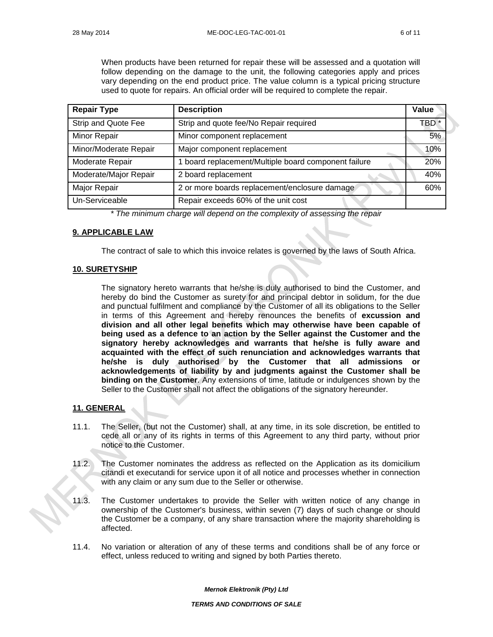When products have been returned for repair these will be assessed and a quotation will follow depending on the damage to the unit, the following categories apply and prices vary depending on the end product price. The value column is a typical pricing structure used to quote for repairs. An official order will be required to complete the repair.

| <b>Repair Type</b>         | <b>Description</b>                                 | Value            |
|----------------------------|----------------------------------------------------|------------------|
| <b>Strip and Quote Fee</b> | Strip and quote fee/No Repair required             | TBD <sup>*</sup> |
| <b>Minor Repair</b>        | Minor component replacement                        | 5%               |
| Minor/Moderate Repair      | Major component replacement                        | 10%              |
| Moderate Repair            | board replacement/Multiple board component failure | 20%              |
| Moderate/Major Repair      | 2 board replacement                                | 40%              |
| Major Repair               | 2 or more boards replacement/enclosure damage      | 60%              |
| Un-Serviceable             | Repair exceeds 60% of the unit cost                |                  |

*\* The minimum charge will depend on the complexity of assessing the repair*

# **9. APPLICABLE LAW**

The contract of sale to which this invoice relates is governed by the laws of South Africa.

## **10. SURETYSHIP**

The signatory hereto warrants that he/she is duly authorised to bind the Customer, and hereby do bind the Customer as surety for and principal debtor in solidum, for the due and punctual fulfilment and compliance by the Customer of all its obligations to the Seller in terms of this Agreement and hereby renounces the benefits of **excussion and division and all other legal benefits which may otherwise have been capable of being used as a defence to an action by the Seller against the Customer and the signatory hereby acknowledges and warrants that he/she is fully aware and acquainted with the effect of such renunciation and acknowledges warrants that he/she is duly authorised by the Customer that all admissions or acknowledgements of liability by and judgments against the Customer shall be binding on the Customer**. Any extensions of time, latitude or indulgences shown by the Seller to the Customer shall not affect the obligations of the signatory hereunder.

# **11. GENERAL**

- 11.1. The Seller, (but not the Customer) shall, at any time, in its sole discretion, be entitled to cede all or any of its rights in terms of this Agreement to any third party, without prior notice to the Customer.
- 11.2. The Customer nominates the address as reflected on the Application as its domicilium citandi et executandi for service upon it of all notice and processes whether in connection with any claim or any sum due to the Seller or otherwise.
- 11.3. The Customer undertakes to provide the Seller with written notice of any change in ownership of the Customer's business, within seven (7) days of such change or should the Customer be a company, of any share transaction where the majority shareholding is affected.
- 11.4. No variation or alteration of any of these terms and conditions shall be of any force or effect, unless reduced to writing and signed by both Parties thereto.

*Mernok Elektronik (Pty) Ltd*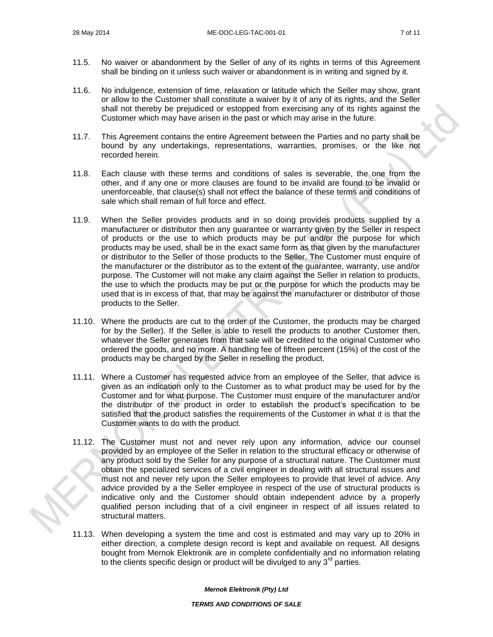- 11.5. No waiver or abandonment by the Seller of any of its rights in terms of this Agreement shall be binding on it unless such waiver or abandonment is in writing and signed by it.
- 11.6. No indulgence, extension of time, relaxation or latitude which the Seller may show, grant or allow to the Customer shall constitute a waiver by it of any of its rights, and the Seller shall not thereby be prejudiced or estopped from exercising any of its rights against the Customer which may have arisen in the past or which may arise in the future.
- 11.7. This Agreement contains the entire Agreement between the Parties and no party shall be bound by any undertakings, representations, warranties, promises, or the like not recorded herein.
- 11.8. Each clause with these terms and conditions of sales is severable, the one from the other, and if any one or more clauses are found to be invalid are found to be invalid or unenforceable, that clause(s) shall not effect the balance of these terms and conditions of sale which shall remain of full force and effect.
- 11.9. When the Seller provides products and in so doing provides products supplied by a manufacturer or distributor then any guarantee or warranty given by the Seller in respect of products or the use to which products may be put and/or the purpose for which products may be used, shall be in the exact same form as that given by the manufacturer or distributor to the Seller of those products to the Seller. The Customer must enquire of the manufacturer or the distributor as to the extent of the guarantee, warranty, use and/or purpose. The Customer will not make any claim against the Seller in relation to products, the use to which the products may be put or the purpose for which the products may be used that is in excess of that, that may be against the manufacturer or distributor of those products to the Seller.
- 11.10. Where the products are cut to the order of the Customer, the products may be charged for by the Seller). If the Seller is able to resell the products to another Customer then, whatever the Seller generates from that sale will be credited to the original Customer who ordered the goods, and no more. A handling fee of fifteen percent (15%) of the cost of the products may be charged by the Seller in reselling the product.
- 11.11. Where a Customer has requested advice from an employee of the Seller, that advice is given as an indication only to the Customer as to what product may be used for by the Customer and for what purpose. The Customer must enquire of the manufacturer and/or the distributor of the product in order to establish the product's specification to be satisfied that the product satisfies the requirements of the Customer in what it is that the Customer wants to do with the product.
- 11.12. The Customer must not and never rely upon any information, advice our counsel provided by an employee of the Seller in relation to the structural efficacy or otherwise of any product sold by the Seller for any purpose of a structural nature. The Customer must obtain the specialized services of a civil engineer in dealing with all structural issues and must not and never rely upon the Seller employees to provide that level of advice. Any advice provided by a the Seller employee in respect of the use of structural products is indicative only and the Customer should obtain independent advice by a properly qualified person including that of a civil engineer in respect of all issues related to structural matters.
- 11.13. When developing a system the time and cost is estimated and may vary up to 20% in either direction, a complete design record is kept and available on request. All designs bought from Mernok Elektronik are in complete confidentially and no information relating to the clients specific design or product will be divulged to any  $3<sup>rd</sup>$  parties.

*Mernok Elektronik (Pty) Ltd*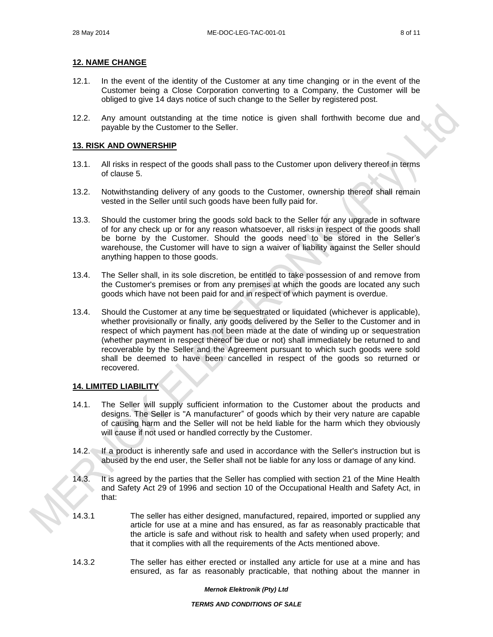## **12. NAME CHANGE**

- 12.1. In the event of the identity of the Customer at any time changing or in the event of the Customer being a Close Corporation converting to a Company, the Customer will be obliged to give 14 days notice of such change to the Seller by registered post.
- 12.2. Any amount outstanding at the time notice is given shall forthwith become due and payable by the Customer to the Seller.

## **13. RISK AND OWNERSHIP**

- 13.1. All risks in respect of the goods shall pass to the Customer upon delivery thereof in terms of clause 5.
- 13.2. Notwithstanding delivery of any goods to the Customer, ownership thereof shall remain vested in the Seller until such goods have been fully paid for.
- 13.3. Should the customer bring the goods sold back to the Seller for any upgrade in software of for any check up or for any reason whatsoever, all risks in respect of the goods shall be borne by the Customer. Should the goods need to be stored in the Seller's warehouse, the Customer will have to sign a waiver of liability against the Seller should anything happen to those goods.
- 13.4. The Seller shall, in its sole discretion, be entitled to take possession of and remove from the Customer's premises or from any premises at which the goods are located any such goods which have not been paid for and in respect of which payment is overdue.
- 13.4. Should the Customer at any time be sequestrated or liquidated (whichever is applicable), whether provisionally or finally, any goods delivered by the Seller to the Customer and in respect of which payment has not been made at the date of winding up or sequestration (whether payment in respect thereof be due or not) shall immediately be returned to and recoverable by the Seller and the Agreement pursuant to which such goods were sold shall be deemed to have been cancelled in respect of the goods so returned or recovered.

# **14. LIMITED LIABILITY**

- 14.1. The Seller will supply sufficient information to the Customer about the products and designs. The Seller is "A manufacturer" of goods which by their very nature are capable of causing harm and the Seller will not be held liable for the harm which they obviously will cause if not used or handled correctly by the Customer.
- 14.2. If a product is inherently safe and used in accordance with the Seller's instruction but is abused by the end user, the Seller shall not be liable for any loss or damage of any kind.
- 14.3. It is agreed by the parties that the Seller has complied with section 21 of the Mine Health and Safety Act 29 of 1996 and section 10 of the Occupational Health and Safety Act, in that:
- 14.3.1 The seller has either designed, manufactured, repaired, imported or supplied any article for use at a mine and has ensured, as far as reasonably practicable that the article is safe and without risk to health and safety when used properly; and that it complies with all the requirements of the Acts mentioned above.
- 14.3.2 The seller has either erected or installed any article for use at a mine and has ensured, as far as reasonably practicable, that nothing about the manner in

#### *Mernok Elektronik (Pty) Ltd*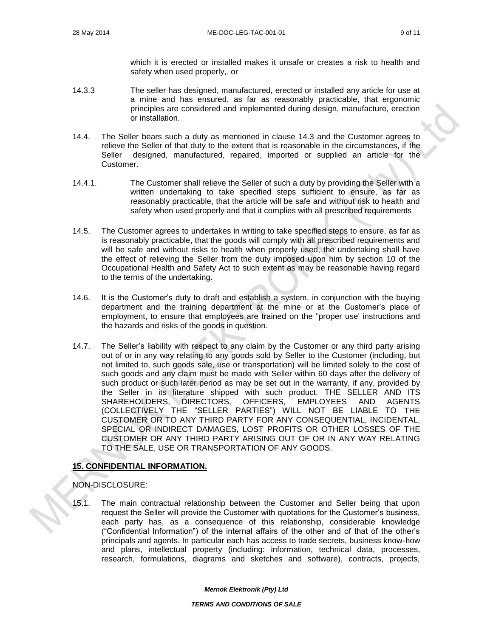which it is erected or installed makes it unsafe or creates a risk to health and safety when used properly,. or

- 14.3.3 The seller has designed, manufactured, erected or installed any article for use at a mine and has ensured, as far as reasonably practicable, that ergonomic principles are considered and implemented during design, manufacture, erection or installation.
- 14.4. The Seller bears such a duty as mentioned in clause 14.3 and the Customer agrees to relieve the Seller of that duty to the extent that is reasonable in the circumstances, if the Seller designed, manufactured, repaired, imported or supplied an article for the Customer.
- 14.4.1. The Customer shall relieve the Seller of such a duty by providing the Seller with a written undertaking to take specified steps sufficient to ensure, as far as reasonably practicable, that the article will be safe and without risk to health and safety when used properly and that it complies with all prescribed requirements
- 14.5. The Customer agrees to undertakes in writing to take specified steps to ensure, as far as is reasonably practicable, that the goods will comply with all prescribed requirements and will be safe and without risks to health when properly used, the undertaking shall have the effect of relieving the Seller from the duty imposed upon him by section 10 of the Occupational Health and Safety Act to such extent as may be reasonable having regard to the terms of the undertaking.
- 14.6. It is the Customer's duty to draft and establish a system, in conjunction with the buying department and the training department at the mine or at the Customer's place of employment, to ensure that employees are trained on the "proper use' instructions and the hazards and risks of the goods in question.
- 14.7. The Seller's liability with respect to any claim by the Customer or any third party arising out of or in any way relating to any goods sold by Seller to the Customer (including, but not limited to, such goods sale, use or transportation) will be limited solely to the cost of such goods and any claim must be made with Seller within 60 days after the delivery of such product or such later period as may be set out in the warranty, if any, provided by the Seller in its literature shipped with such product. THE SELLER AND ITS SHAREHOLDERS, DIRECTORS, OFFICERS, EMPLOYEES AND AGENTS (COLLECTIVELY THE "SELLER PARTIES") WILL NOT BE LIABLE TO THE CUSTOMER OR TO ANY THIRD PARTY FOR ANY CONSEQUENTIAL, INCIDENTAL, SPECIAL OR INDIRECT DAMAGES, LOST PROFITS OR OTHER LOSSES OF THE CUSTOMER OR ANY THIRD PARTY ARISING OUT OF OR IN ANY WAY RELATING TO THE SALE, USE OR TRANSPORTATION OF ANY GOODS.

# **15. CONFIDENTIAL INFORMATION.**

#### NON-DISCLOSURE:

15.1. The main contractual relationship between the Customer and Seller being that upon request the Seller will provide the Customer with quotations for the Customer's business, each party has, as a consequence of this relationship, considerable knowledge ("Confidential Information") of the internal affairs of the other and of that of the other's principals and agents. In particular each has access to trade secrets, business know-how and plans, intellectual property (including: information, technical data, processes, research, formulations, diagrams and sketches and software), contracts, projects,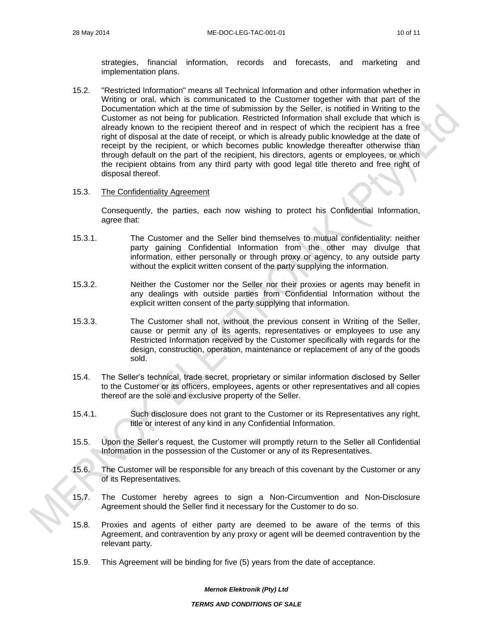strategies, financial information, records and forecasts, and marketing and implementation plans.

15.2. "Restricted Information" means all Technical Information and other information whether in Writing or oral, which is communicated to the Customer together with that part of the Documentation which at the time of submission by the Seller, is notified in Writing to the Customer as not being for publication. Restricted Information shall exclude that which is already known to the recipient thereof and in respect of which the recipient has a free right of disposal at the date of receipt, or which is already public knowledge at the date of receipt by the recipient, or which becomes public knowledge thereafter otherwise than through default on the part of the recipient, his directors, agents or employees, or which the recipient obtains from any third party with good legal title thereto and free right of disposal thereof.

#### 15.3. The Confidentiality Agreement

Consequently, the parties, each now wishing to protect his Confidential Information, agree that:

- 15.3.1. The Customer and the Seller bind themselves to mutual confidentiality: neither party gaining Confidential Information from the other may divulge that information, either personally or through proxy or agency, to any outside party without the explicit written consent of the party supplying the information.
- 15.3.2. Neither the Customer nor the Seller nor their proxies or agents may benefit in any dealings with outside parties from Confidential Information without the explicit written consent of the party supplying that information.
- 15.3.3. The Customer shall not, without the previous consent in Writing of the Seller, cause or permit any of its agents, representatives or employees to use any Restricted Information received by the Customer specifically with regards for the design, construction, operation, maintenance or replacement of any of the goods sold.
- 15.4. The Seller's technical, trade secret, proprietary or similar information disclosed by Seller to the Customer or its officers, employees, agents or other representatives and all copies thereof are the sole and exclusive property of the Seller.
- 15.4.1. Such disclosure does not grant to the Customer or its Representatives any right, title or interest of any kind in any Confidential Information.
- 15.5. Upon the Seller's request, the Customer will promptly return to the Seller all Confidential Information in the possession of the Customer or any of its Representatives.
- 15.6. The Customer will be responsible for any breach of this covenant by the Customer or any of its Representatives.
- 15.7. The Customer hereby agrees to sign a Non-Circumvention and Non-Disclosure Agreement should the Seller find it necessary for the Customer to do so.
- 15.8. Proxies and agents of either party are deemed to be aware of the terms of this Agreement, and contravention by any proxy or agent will be deemed contravention by the relevant party.
- 15.9. This Agreement will be binding for five (5) years from the date of acceptance.

#### *Mernok Elektronik (Pty) Ltd*